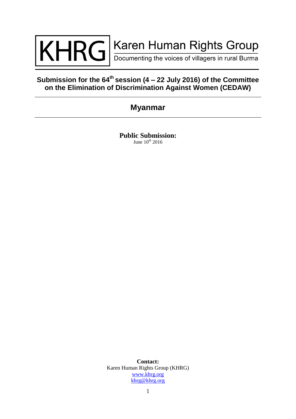

# **Submission for the 64th session (4 – 22 July 2016) of the Committee on the Elimination of Discrimination Against Women (CEDAW)**

# **Myanmar**

**Public Submission:** June  $10^{th}$  2016

**Contact:**  Karen Human Rights Group (KHRG) [www.khrg.org](http://www.khrg.org/) [khrg@khrg.org](mailto:khrg@khrg.org)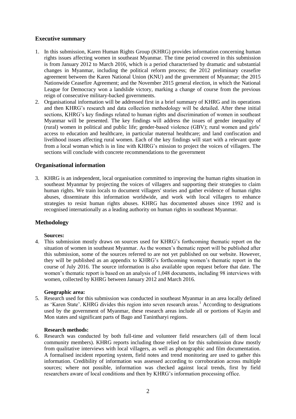# **Executive summary**

- 1. In this submission, Karen Human Rights Group (KHRG) provides information concerning human rights issues affecting women in southeast Myanmar. The time period covered in this submission is from January 2012 to March 2016, which is a period characterised by dramatic and substantial changes in Myanmar, including the political reform process; the 2012 preliminary ceasefire agreement between the Karen National Union (KNU) and the government of Myanmar; the 2015 Nationwide Ceasefire Agreement; and the November 2015 general election, in which the National League for Democracy won a landslide victory, marking a change of course from the previous reign of consecutive military-backed governments.
- 2. Organisational information will be addressed first in a brief summary of KHRG and its operations and then KHRG's research and data collection methodology will be detailed. After these initial sections, KHRG's key findings related to human rights and discrimination of women in southeast Myanmar will be presented. The key findings will address the issues of gender inequality of (rural) women in political and public life; gender-based violence (GBV); rural women and girls' access to education and healthcare, in particular maternal healthcare; and land confiscation and livelihood issues affecting rural women. Each of the key findings will start with a relevant quote from a local woman which is in line with KHRG's mission to project the voices of villagers. The sections will conclude with concrete recommendations to the government

# **Organisational information**

3. KHRG is an independent, local organisation committed to improving the human rights situation in southeast Myanmar by projecting the voices of villagers and supporting their strategies to claim human rights. We train locals to document villagers' stories and gather evidence of human rights abuses, disseminate this information worldwide, and work with local villagers to enhance strategies to resist human rights abuses. KHRG has documented abuses since 1992 and is recognised internationally as a leading authority on human rights in southeast Myanmar.

# **Methodology**

## **Sources:**

4. This submission mostly draws on sources used for KHRG's forthcoming thematic report on the situation of women in southeast Myanmar. As the women's thematic report will be published after this submission, some of the sources referred to are not yet published on our website. However, they will be published as an appendix to KHRG's forthcoming women's thematic report in the course of July 2016. The source information is also available upon request before that date. The women's thematic report is based on an analysis of 1,048 documents, including 98 interviews with women, collected by KHRG between January 2012 and March 2016.

## **Geographic area:**

5. Research used for this submission was conducted in southeast Myanmar in an area locally defined as 'Karen State'. KHRG divides this region into seven research areas.<sup>1</sup> According to designations used by the government of Myanmar, these research areas include all or portions of Kayin and Mon states and significant parts of Bago and Tanintharyi regions.

#### **Research methods:**

6. Research was conducted by both full-time and volunteer field researchers (all of them local community members). KHRG reports including those relied on for this submission draw mostly from qualitative interviews with local villagers, as well as photographic and film documentation. A formalised incident reporting system, field notes and trend monitoring are used to gather this information. Credibility of information was assessed according to corroboration across multiple sources; where not possible, information was checked against local trends, first by field researchers aware of local conditions and then by KHRG's information processing office.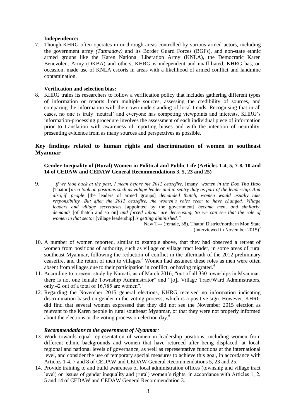### **Independence:**

7. Though KHRG often operates in or through areas controlled by various armed actors, including the government army *(Tatmadaw)* and its Border Guard Forces (BGFs), and non-state ethnic armed groups like the Karen National Liberation Army (KNLA), the Democratic Karen Benevolent Army (DKBA) and others, KHRG is independent and unaffiliated. KHRG has, on occasion, made use of KNLA escorts in areas with a likelihood of armed conflict and landmine contamination.

#### **Verification and selection bias:**

8. KHRG trains its researchers to follow a verification policy that includes gathering different types of information or reports from multiple sources, assessing the credibility of sources, and comparing the information with their own understanding of local trends. Recognising that in all cases, no one is truly 'neutral' and everyone has competing viewpoints and interests, KHRG's information-processing procedure involves the assessment of each individual piece of information prior to translation with awareness of reporting biases and with the intention of neutrality, presenting evidence from as many sources and perspectives as possible.

# **Key findings related to human rights and discrimination of women in southeast Myanmar**

## **Gender Inequality of (Rural) Women in Political and Public Life (Articles 1-4, 5, 7-8, 10 and 14 of CEDAW and CEDAW General Recommendations 3, 5, 23 and 25)**

9. *"If we look back at the past, I mean before the 2012 ceasefire,* [many] *women in the Doo Tha Htoo*  [Thaton] *area took on positions such as village leader and in sentry duty as part of the leadership. And also, if people* [the leaders of armed groups] *demanded thatch, women would usually take responsibility. But after the 2012 ceasefire, the women's roles seem to have changed. Village leaders and village secretaries* [appointed by the government] *became men, and similarly, demands* [of thatch and so on] *and forced labour are decreasing. So we can see that the role of women in that sector* [village leadership] *is getting diminished."*

Naw T--- (female, 38), Thaton District/northern Mon State (interviewed in November 2015)<sup>2</sup>

- 10. A number of women reported, similar to example above, that they had observed a retreat of women from positions of authority, such as village or village tract leader, in some areas of rural southeast Myanmar, following the reduction of conflict in the aftermath of the 2012 preliminary ceasefire, and the return of men to villages. <sup>3</sup> Women had assumed these roles as men were often absent from villages due to their participation in conflict, or having migrated.<sup>4</sup>
- 11. According to a recent study by Namati, as of March 2016, "out of all 330 townships in Myanmar, there is not one female Township Administrator" and "[o]f Village Tract/Ward Administrators, only 42 out of a total of 16,785 are women".<sup>5</sup>
- 12. Regarding the November 2015 general elections, KHRG received no information indicating discrimination based on gender in the voting process, which is a positive sign. However, KHRG did find that several women expressed that they did not see the November 2015 election as relevant to the Karen people in rural southeast Myanmar, or that they were not properly informed about the elections or the voting process on election day.<sup>6</sup>

#### *Recommendations to the government of Myanmar:*

- 13. Work towards equal representation of women in leadership positions, including women from different ethnic backgrounds and women that have returned after being displaced, at local, regional and national levels of governance, as well as representative functions at the international level, and consider the use of temporary special measures to achieve this goal, in accordance with Articles 1-4, 7 and 8 of CEDAW and CEDAW General Recommendations 5, 23 and 25.
- 14. Provide training to and build awareness of local administration offices (township and village tract level) on issues of gender inequality and (rural) women's rights, in accordance with Articles 1, 2, 5 and 14 of CEDAW and CEDAW General Recommendation 3.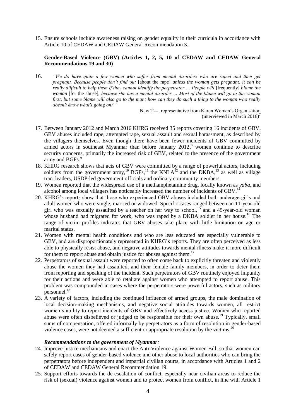15. Ensure schools include awareness raising on gender equality in their curricula in accordance with Article 10 of CEDAW and CEDAW General Recommendation 3.

## **Gender-Based Violence (GBV) (Articles 1, 2, 5, 10 of CEDAW and CEDAW General Recommendations 19 and 30)**

16. *"We do have quite a few women who suffer from mental disorders who are raped and then get pregnant. Because people don't find out* [about the rape] *unless the woman gets pregnant, it can be really difficult to help them if they cannot identify the perpetrator ... People will [frequently] blame the woman* [for the abuse]*, because she has a mental disorder … Most of the blame will go to the woman first, but some blame will also go to the man: how can they do such a thing to the woman who really doesn't know what's going on?"*

> Naw T---, representative from Karen Women's Organisation (interviewed in March 2016)<sup>7</sup>

- 17. Between January 2012 and March 2016 KHRG received 35 reports covering 16 incidents of GBV. GBV abuses included rape, attempted rape, sexual assault and sexual harassment, as described by the villagers themselves. Even though there have been fewer incidents of GBV committed by armed actors in southeast Myanmar than before January 2012, <sup>8</sup> women continue to describe security concerns, primarily the increased risk of GBV, related to the presence of the government army and BGFs.<sup>9</sup>
- 18. KHRG research shows that acts of GBV were committed by a range of powerful actors, including soldiers from the government army,<sup>10</sup> BGFs,<sup>11</sup> the KNLA<sup>12</sup> and the DKBA,<sup>13</sup> as well as village tract leaders, USDP-led government officials and ordinary community members.
- 19. Women reported that the widespread use of a methamphetamine drug, locally known as *yaba,* and alcohol among local villagers has noticeably increased the number of incidents of GBV.<sup>14</sup>
- 20. KHRG's reports show that those who experienced GBV abuses included both underage girls and adult women who were single, married or widowed. Specific cases ranged between an 11-year-old girl who was sexually assaulted by a teacher on her way to school,<sup>15</sup> and a 45-year-old woman whose husband had migrated for work, who was raped by a DKBA soldier in her house.<sup>16</sup> The range of victim profiles indicates that GBV abuses take place with little limitation on age or marital status.
- 21. Women with mental health conditions and who are less educated are especially vulnerable to GBV, and are disproportionately represented in KHRG's reports. They are often perceived as less able to physically resist abuse, and negative attitudes towards mental illness make it more difficult for them to report abuse and obtain justice for abuses against them.<sup>17</sup>
- 22. Perpetrators of sexual assault were reported to often come back to explicitly threaten and violently abuse the women they had assaulted, and their female family members, in order to deter them from reporting and speaking of the incident. Such perpetrators of GBV routinely enjoyed impunity for their actions and were able to retaliate against women who attempted to report abuse. This problem was compounded in cases where the perpetrators were powerful actors, such as military  $\epsilon$  personnel.<sup>18</sup>
- 23. A variety of factors, including the continued influence of armed groups, the male domination of local decision-making mechanisms, and negative social attitudes towards women, all restrict women's ability to report incidents of GBV and effectively access justice. Women who reported abuse were often disbelieved or judged to be responsible for their own abuse.<sup>19</sup> Typically, small sums of compensation, offered informally by perpetrators as a form of resolution in gender-based violence cases, were not deemed a sufficient or appropriate resolution by the victims.<sup>2</sup>

## *Recommendations to the government of Myanmar:*

- 24. Improve justice mechanisms and enact the Anti-Violence against Women Bill, so that women can safely report cases of gender-based violence and other abuse to local authorities who can bring the perpetrators before independent and impartial civilian courts, in accordance with Articles 1 and 2 of CEDAW and CEDAW General Recommendation 19.
- 25. Support efforts towards the de-escalation of conflict, especially near civilian areas to reduce the risk of (sexual) violence against women and to protect women from conflict, in line with Article 1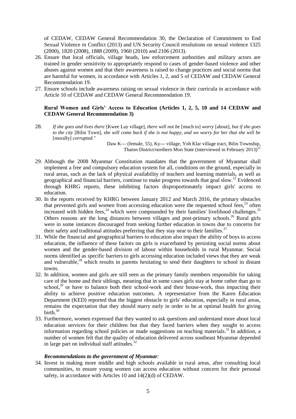of CEDAW, CEDAW General Recommendation 30, the Declaration of Commitment to End Sexual Violence in Conflict (2013) and UN Security Council resolutions on sexual violence 1325 (2000), 1820 (2008), 1888 (2009), 1960 (2010) and 2106 (2013).

- 26. Ensure that local officials, village heads, law enforcement authorities and military actors are trained in gender sensitivity to appropriately respond to cases of gender-based violence and other abuses against women and that their awareness is raised to change practices and social norms that are harmful for women, in accordance with Articles 1, 2, and 5 of CEDAW and CEDAW General Recommendation 19.
- 27. Ensure schools include awareness raising on sexual violence in their curricula in accordance with Article 10 of CEDAW and CEDAW General Recommendation 19.

## **Rural Women and Girls' Access to Education (Articles 1, 2, 5, 10 and 14 CEDAW and CEDAW General Recommendation 3)**

28. *If she goes and lives there* [Kwee Lay village]*, there will not be* [much to] *worry* [about]*, but if she goes to the city* [Bilin Town]*, she will come back if she is not happy, and we worry for her that she will be*  [morally] *corrupted.*"

> Daw K--- (female, 55), Ky--- village, Yoh Klar village tract, Bilin Township, Thaton District/northern Mon State (interviewed in February  $2013$ )<sup>21</sup>

- 29. Although the 2008 Myanmar Constitution mandates that the government of Myanmar shall implement a free and compulsory education system for all, conditions on the ground, especially in rural areas, such as the lack of physical availability of teachers and learning materials, as well as geographical and financial barriers, continue to make progress towards that goal slow.<sup>22</sup> Evidenced through KHRG reports, these inhibiting factors disproportionately impact girls' access to education.
- 30. In the reports received by KHRG between January 2012 and March 2016, the primary obstacles that prevented girls and women from accessing education were the requested school fees.<sup>23</sup> often increased with hidden fees,  $24$  which were compounded by their families' livelihood challenges.  $25$ Others reasons are the long distances between villages and post-primary schools.<sup>26</sup> Rural girls were in some instances discouraged from seeking further education in towns due to concerns for their safety and traditional attitudes preferring that they stay near to their families.<sup>27</sup>
- 31. While the financial and geographical barriers to education also impact the ability of boys to access education, the influence of these factors on girls is exacerbated by persisting social norms about women and the gender-based division of labour within households in rural Myanmar. Social norms identified as specific barriers to girls accessing education included views that they are weak and vulnerable,<sup>28</sup> which results in parents hesitating to send their daughters to school in distant towns.
- 32. In addition, women and girls are still seen as the primary family members responsible for taking care of the home and their siblings, meaning that in some cases girls stay at home rather than go to school, $^{29}$  or have to balance both their school-work and their house-work, thus impacting their ability to achieve positive education outcomes. A representative from the Karen Education Department (KED) reported that the biggest obstacle to girls' education, especially in rural areas, remains the expectation that they should marry early in order to be at optimal health for giving birth. $30$
- 33. Furthermore, women expressed that they wanted to ask questions and understand more about local education services for their children but that they faced barriers when they sought to access information regarding school policies or made suggestions on teaching materials.<sup>31</sup> In addition, a number of women felt that the quality of education delivered across southeast Myanmar depended in large part on individual staff attitudes.<sup>32</sup>

### *Recommendations to the government of Myanmar:*

34. Invest in making more middle and high schools available in rural areas, after consulting local communities, to ensure young women can access education without concern for their personal safety, in accordance with Articles 10 and 14(2)(d) of CEDAW.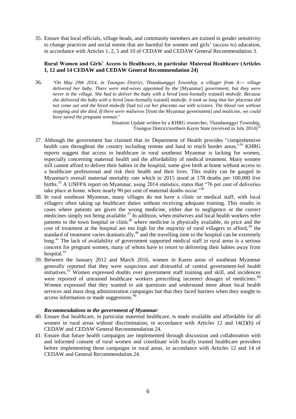35. Ensure that local officials, village heads, and community members are trained in gender sensitivity to change practices and social norms that are harmful for women and girls' (access to) education, in accordance with Articles 1, 2, 5 and 10 of CEDAW and CEDAW General Recommendation 3.

### **Rural Women and Girls' Access to Healthcare, in particular Maternal Healthcare (Articles 1, 12 and 14 CEDAW and CEDAW General Recommendation 24)**

36. *"On May 29th 2014, in Toungoo District, Thandaunggyi Township, a villager from A--- village delivered her baby. There were mid-wives appointed by the* [Myanmar] *government, but they were never in the village. She had to deliver the baby with a hired* [non-formally trained] *midwife. Because she delivered the baby with a hired* [non-formally trained] *midwife, it took so long that her placenta did not come out and the hired midwife* [had to] *cut her placenta out with scissors. The blood ran without stopping and she died. If there were midwives* [from the Myanmar government] *and medicine, we could have saved the pregnant woman.*"

Situation Update written by a KHRG researcher, Thandaunggyi Township, Toungoo District/northern Kayin State (received in July 2014)<sup>33</sup>

- 37. Although the government has claimed that its Department of Health provides "comprehensive health care throughout the country including remote and hard to reach border areas,  $134$  KHRG reports suggest that access to healthcare in rural southeast Myanmar is lacking for women, especially concerning maternal health and the affordability of medical treatment. Many women still cannot afford to deliver their babies in the hospital; some give birth at home without access to a healthcare professional and risk their health and their lives. This reality can be gauged in Myanmar's overall maternal mortality rate which in 2015 stood at 178 deaths per 100,000 live births.<sup>35</sup> A UNFPA report on Myanmar, using 2014 statistics, states that "76 per cent of deliveries" take place at home, where nearly 90 per cent of maternal deaths occur."<sup>36</sup>
- 38. In rural southeast Myanmar, many villages do not have a clinic or medical staff, with local villagers often taking up healthcare duties without receiving adequate training. This results in cases where patients are given the wrong medicine, either due to negligence or the correct medicines simply not being available.<sup>37</sup> In addition, when midwives and local health workers refer patients to the town hospital or clinic<sup>38</sup> where medicine is physically available, its price and the cost of treatment at the hospital are too high for the majority of rural villagers to afford,  $39$  the standard of treatment varies dramatically,<sup>40</sup> and the travelling time to the hospital can be extremely long.<sup>41</sup> The lack of availability of government supported medical staff in rural areas is a serious concern for pregnant women, many of whom have to resort to delivering their babies away from hospital. $42$
- 39. Between the January 2012 and March 2016, women in Karen areas of southeast Myanmar generally reported that they were suspicious and distrustful of central government-led health initiatives.<sup>43</sup> Women expressed doubts over government staff training and skill, and incidences were reported of untrained healthcare workers prescribing incorrect dosages of medicines.<sup>44</sup> Women expressed that they wanted to ask questions and understand more about local health services and mass drug administration campaigns but that they faced barriers when they sought to access information or made suggestions.<sup>45</sup>

## *Recommendations to the government of Myanmar:*

- 40. Ensure that healthcare, in particular maternal healthcare, is made available and affordable for all women in rural areas without discrimination, in accordance with Articles 12 and 14(2)(b) of CEDAW and CEDAW General Recommendation 24.
- 41. Ensure that future health campaigns are implemented through discussion and collaboration with and informed consent of rural women and coordinate with locally trusted healthcare providers before implementing these campaigns in rural areas, in accordance with Articles 12 and 14 of CEDAW and General Recommendation 24.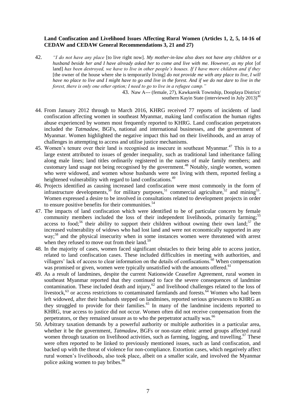### **Land Confiscation and Livelihood Issues Affecting Rural Women (Articles 1, 2, 5, 14-16 of CEDAW and CEDAW General Recommendations 3, 21 and 27)**

42. *"I do not have any place* [to live right now]*. My mother-in-law also does not have any children or a husband beside her and I have already asked her to come and live with me. However, as my plot* [of land] *has been destroyed, we have to live in other people's houses. If I have more children and if they*  [the owner of the house where she is temporarily living] *do not provide me with any place to live, I will have no place to live and I might have to go and live in the forest. And if we do not dare to live in the forest, there is only one other option; I need to go to live in a refugee camp."*

> 43. Naw A--- (female, 27), Kawkareik Township, Dooplaya District/ southern Kayin State (interviewed in July 2013)<sup>46</sup>

- 44. From January 2012 through to March 2016, KHRG received 77 reports of incidents of land confiscation affecting women in southeast Myanmar, making land confiscation the human rights abuse experienced by women most frequently reported to KHRG. Land confiscation perpetrators included the *Tatmadaw*, BGFs, national and international businesses, and the government of Myanmar. Women highlighted the negative impact this had on their livelihoods, and an array of challenges in attempting to access and utilise justice mechanisms.
- 45. Women's tenure over their land is recognised as insecure in southeast Myanmar.<sup>47</sup> This is to a large extent attributed to issues of gender inequality, such as traditional land inheritance falling along male lines; land titles ordinarily registered in the names of male family members; and customary land usage not being recognised by the government.<sup>48</sup> Notably, single women, women who were widowed, and women whose husbands were not living with them, reported feeling a heightened vulnerability with regard to land confiscations.<sup>49</sup>
- 46. Projects identified as causing increased land confiscation were most commonly in the form of infrastructure developments,<sup>50</sup> for military purposes,<sup>51</sup> commercial agriculture,<sup>52</sup> and mining<sup>53</sup>. Women expressed a desire to be involved in consultations related to development projects in order to ensure positive benefits for their communities. $54$
- 47. The impacts of land confiscation which were identified to be of particular concern by female community members included the loss of their independent livelihoods, primarily farming;<sup>55</sup> access to food;<sup>56</sup> their ability to support their children without owning their own land;<sup>57</sup> the increased vulnerability of widows who had lost land and were not economically supported in any way:<sup>58</sup> and the physical insecurity when in some instances women were threatened with arrest when they refused to move out from their land.<sup>59</sup>
- 48. In the majority of cases, women faced significant obstacles to their being able to access justice, related to land confiscation cases. These included difficulties in meeting with authorities, and villagers' lack of access to clear information on the details of confiscations.<sup>60</sup> When compensation was promised or given, women were typically unsatisfied with the amounts offered.<sup>61</sup>
- 49. As a result of landmines, despite the current Nationwide Ceasefire Agreement, rural women in southeast Myanmar reported that they continued to face the severe consequences of landmine contamination. These included death and injury,<sup>62</sup> and livelihood challenges related to the loss of livestock,<sup>63</sup> or access restrictions to contaminated farmlands and forests.<sup>64</sup> Women who had been left widowed, after their husbands stepped on landmines, reported serious grievances to KHRG as they struggled to provide for their families.<sup>65</sup> In many of the landmine incidents reported to KHRG, true access to justice did not occur. Women often did not receive compensation from the perpetrators, or they remained unsure as to who the perpetrator actually was.<sup>66</sup>
- 50. Arbitrary taxation demands by a powerful authority or multiple authorities in a particular area, whether it be the government, *Tatmadaw*, BGFs or non-state ethnic armed groups affected rural women through taxation on livelihood activities, such as farming, logging, and travelling.<sup>67</sup> These were often reported to be linked to previously mentioned issues, such as land confiscation, and backed up with the threat of violence for non-compliance. Extortion cases, which negatively affect rural women's livelihoods, also took place, albeit on a smaller scale, and involved the Myanmar police asking women to pay bribes.<sup>68</sup>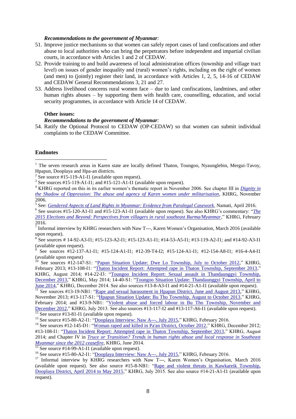#### *Recommendations to the government of Myanmar:*

- 51. Improve justice mechanisms so that women can safely report cases of land confiscations and other abuse to local authorities who can bring the perpetrators before independent and impartial civilian courts, in accordance with Articles 1 and 2 of CEDAW.
- 52. Provide training to and build awareness of local administration offices (township and village tract level) on issues of gender inequality and (rural) women's rights, including on the right of women (and men) to (jointly) register their land, in accordance with Articles 1, 2, 5, 14-16 of CEDAW and CEDAW General Recommendations 3, 21 and 27.
- 53. Address livelihood concerns rural women face due to land confiscations, landmines, and other human rights abuses – by supporting them with health care, counselling, education, and social security programmes, in accordance with Article 14 of CEDAW.

### **Other issues:**

### *Recommendations to the government of Myanmar:*

54. Ratify the Optional Protocol to CEDAW (OP-CEDAW) so that women can submit individual complaints to the CEDAW Committee.

## **Endnotes**

<u>.</u>

 $\frac{15}{15}$  See source #14-99-A1-I1 (available upon request).

 $1$  The seven research areas in Karen state are locally defined Thaton, Toungoo, Nyaunglebin, Mergui-Tavoy, Hpapun, Dooplaya and Hpa-an districts.

<sup>&</sup>lt;sup>2</sup> See source #15-119-A1-I1 (available upon request).

<sup>&</sup>lt;sup>3</sup> See sources #15-119-A1-I1; and #15-121-A1-I1 (available upon request).

<sup>&</sup>lt;sup>4</sup> KHRG reported on this in its earlier women's thematic report in November 2006. See chapter III in *Dignity in [the Shadow of Oppression: The abuse and agency of Karen women under militarisation](http://khrg.org/2006/11/dignity-shadow-oppression-abuse-and-agency-karen-women-under-militarisation)*, KHRG, November 2006.

<sup>5</sup> See: *[Gendered Aspects of Land Rights in Myanmar: Evidence from Paralegal Casework](https://namati.org/wp-content/uploads/2016/03/Namati-Gender-policy-brief-FINAL-1.pdf)*, Namati, April 2016.

<sup>&</sup>lt;sup>6</sup> See sources #15-120-A1-I1 and #15-123-A1-I1 (available upon request). See also KHRG's commentary: "*The [2015 Elections and Beyond: Perspectives from villagers in rural southeast Burma/Myanmar](http://khrg.org/2016/02/2015-elections-and-beyond-perspectives-villagers-rural-southeast-burmamyanmar)*," KHRG, February 2016.

 $<sup>7</sup>$  Informal interview by KHRG researchers with Naw T---, Karen Women's Organisation, March 2016 (available</sup> upon request).

<sup>&</sup>lt;sup>8</sup> See sources # 14-92-A3-I1; #15-123-A2-I1; #15-123-A1-I1; #14-53-A5-I1; #13-119-A2-I1; and #14-92-A3-I1 (available upon request).

See sources #12-137-A1-I1; #15-124-A1-I1; #12-39-T4-I2; #15-124-A1-I1; #12-154-A8-I1; #16-4-A4-I1 (available upon request)

<sup>&</sup>lt;sup>10</sup> See sources #12-147-S1: ["Papun Situation Update: Dwe Lo Township, July to October 2012,](http://khrg.org/2013/02/12-147-s1/papun-situation-update-dwe-lo-township-july-october-2012)" KHRG, February 2013; #13-108-I1: ["Thaton Incident Report: Attempted rape in Thaton Township, September 2013,](http://khrg.org/2014/08/13-108-i1/thaton-incident-report-attempted-rape-thaton-township-september-2013)" KHRG, August 2014; #14-22-I3: ["Toungoo Incident Report: Sexual assault in Thandaunggyi Township,](http://khrg.org/2014/05/14-22-i3/toungoo-incident-report-sexual-assault-thandaunggyi-township-december-2013)  [December 2013,](http://khrg.org/2014/05/14-22-i3/toungoo-incident-report-sexual-assault-thandaunggyi-township-december-2013)" KHRG, May 2014; 14-40-S1: ["Toungoo Situation Update: Thandaunggyi Township, April to](http://khrg.org/2014/12/14-40-s1/toungoo-situation-update-thandaunggyi-township-april-june-2014)  [June 2014,](http://khrg.org/2014/12/14-40-s1/toungoo-situation-update-thandaunggyi-township-april-june-2014)" KHRG, December 2014. See also sources #13-8-A3-I1 and #14-21-A1-I1 (available upon request).

 $\frac{11}{11}$  See sources #13-19-NB1: ["Rape and sexual harassment in Hpapun District, June and August 2013,](http://khrg.org/2013/11/13-19-nb1/rape-and-sexual-harassment-hpapun-district-june-and-august-2013)" KHRG, November 2013; #13-117-S1: ["Hpapun Situation Update: Bu Tho Township, August to October 2013,](http://khrg.org/2014/02/13-117-s1/hpapun-situation-update-bu-tho-township-august-october-2013)" KHRG, February 2014; and #13-9-NB1: ["Violent abuse and forced labour in Bu Tho Township, November and](http://khrg.org/2013/07/13-9-nb1/violent-abuse-and-forced-labour-bu-tho-township-november-and-december-2012)  [December 2012,](http://khrg.org/2013/07/13-9-nb1/violent-abuse-and-forced-labour-bu-tho-township-november-and-december-2012)" KHRG, July 2013. See also sources #13-117-I2 and #13-117-A6-I1 (available upon request).  $\frac{12}{12}$  See source #13-81-I1 (available upon request).

<sup>&</sup>lt;sup>13</sup> See source #15-80-A2-I1: ["Dooplaya Interview: Naw A---, July 2015,"](http://khrg.org/2016/02/15-80-a2-i1/dooplaya-interview-naw-july-2015) KHRG, February 2016.

<sup>&</sup>lt;sup>14</sup> See sources #12-145-D1: ["Woman raped and killed in Pa'an District, October 2012,](http://khrg.org/2012/12/12-145-d1/woman-raped-and-killed-paan-district-october-2012)" KHRG, December 2012; #13-108-I1: ["Thaton Incident Report: Attempted rape in Thaton Township, September 2013,](http://khrg.org/2014/08/13-108-i1/thaton-incident-report-attempted-rape-thaton-township-september-2013)" KHRG, August 2014; and Chapter IV in *[Truce or Transition? Trends in human rights abuse and local response in Southeast](Chapter:%20Drug%20production,%20use%20and%20the%20social%20impacts%20in%20Southeast%20Myanmar%20since%20the%20January%202012%20ceasefire)  [Myanmar since the 2012 ceasefire,](Chapter:%20Drug%20production,%20use%20and%20the%20social%20impacts%20in%20Southeast%20Myanmar%20since%20the%20January%202012%20ceasefire)* KHRG, June 2014.

<sup>&</sup>lt;sup>16</sup> See source #15-80-A2-I1: ["Dooplaya Interview: Naw A---, July 2015,"](http://khrg.org/2016/02/15-80-a2-i1/dooplaya-interview-naw-july-2015) KHRG, February 2016.

<sup>&</sup>lt;sup>17</sup> Informal interview by KHRG researchers with Naw T---, Karen Women's Organisation, March 2016 (available upon request). See also source #15-8-NB1: ["Rape and violent threats in Kawkareik Township,](http://khrg.org/2015/07/15-8-nb1/rape-and-violent-threats-kawkareik-township-dooplaya-district-april-2014-may-2015)  [Dooplaya District, April 2014 to May 2015,](http://khrg.org/2015/07/15-8-nb1/rape-and-violent-threats-kawkareik-township-dooplaya-district-april-2014-may-2015)" KHRG, July 2015. See also source #14-21-A1-I1 (available upon request).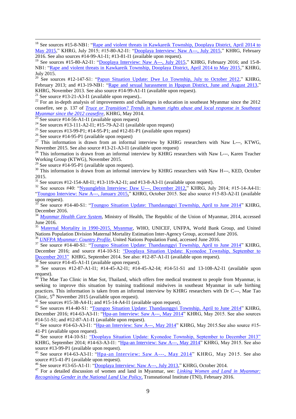<sup>18</sup> See sources #15-8-NB1: "Rape and violent threats in Kawkareik Township, Dooplaya District, April 2014 to [May 2015,](http://khrg.org/2015/07/15-8-nb1/rape-and-violent-threats-kawkareik-township-dooplaya-district-april-2014-may-2015)" KHRG, July 2015; #15-80-A2-I1: ["Dooplaya Interview: Naw A---, July 2015,](http://khrg.org/2016/02/15-80-a2-i1/dooplaya-interview-naw-july-2015)" KHRG, February 2016. See also sources #14-99-A1-I1; #13-81-I1 (available upon request).

<sup>19</sup> See sources #15-80-A2-I1: ["Dooplaya Interview: Naw A---, July 2015,](http://khrg.org/2016/02/15-80-a2-i1/dooplaya-interview-naw-july-2015)" KHRG, February 2016; and 15-8-NB1: ["Rape and violent threats in Kawkareik Township, Dooplaya District, April 2014 to May 2015,](http://khrg.org/2015/07/15-8-nb1/rape-and-violent-threats-kawkareik-township-dooplaya-district-april-2014-may-2015)" KHRG, July 2015.

<sup>20</sup> See sources #12-147-S1: ["Papun Situation Update: Dwe Lo Township, July to October 2012,](http://khrg.org/2013/02/12-147-s1/papun-situation-update-dwe-lo-township-july-october-2012)" KHRG, February 2013; and #13-19-NB1: ["Rape and sexual harassment in Hpapun District, June and August 2013,](http://khrg.org/2013/11/13-19-nb1/rape-and-sexual-harassment-hpapun-district-june-and-august-2013)" KHRG, November 2013. See also source #14-99-A1-I1 (available upon request).

<sup>21</sup> See source #13-21-A3-I1 (available upon request)..

 $\overline{a}$ 

 $22$  For an in-depth analysis of improvements and challenges in education in southeast Myanmar since the 2012 ceasefire, see p. 137 of *[Truce or Transition? Trends in human rights abuse and local response in Southeast](http://khrg.org/2014/05/truce-or-transition-trends-human-rights-abuse-and-local-response)  [Myanmar since the 2012 ceasefire](http://khrg.org/2014/05/truce-or-transition-trends-human-rights-abuse-and-local-response)*, KHRG, May 2014.

 $^{23}$  See source #14-56-A1-I1 (available upon request)

<sup>24</sup> See sources #13-111-A2-I1; #15-79-A2-I1 (available upon request)

<sup>25</sup> See sources #13-99-P1; #14-95-P1; and #12-81-P1 (available upon request)

<sup>26</sup> See source #14-95-P1 (available upon request)

 $27$  This information is drawn from an informal interview by KHRG researchers with Naw L---, KTWG, November 2015. See also source #13-21-A3-I1 (available upon request)

<sup>28</sup> This information is drawn from an informal interview by KHRG researchers with Naw L---, Karen Teacher Working Group (KTWG), November 2015.

 $^{29}$  See source #14-95-P1 (available upon request).

<sup>30</sup> This information is drawn from an informal interview by KHRG researchers with Naw H---, KED, October 2015.

<sup>31</sup> See sources #12-154-A8-I1; #13-119-A2-I1; and #13-8-A3-I1 (available upon request).

 $32$  See sources #40: ["Nyaunglebin Interview: Daw U---, December 2012,](http://khrg.org/2014/07/13-9-a6-i1/nyaunglebin-interview-daw-u-december-2012)" KHRG, July 2014; #15-14-A4-I1: ["Toungoo Interview: Naw A---, January 2015,](http://khrg.org/2015/10/15-14-a4-i1/toungoo-interview-naw-january-2015)" KHRG, October 2015. See also source #15-83-A2-I1 (available upon request).

See source #14-40-S1: ["Toungoo Situation Update: Thandaunggyi Township, April to June 2014"](http://khrg.org/2014/12/14-40-s1/toungoo-situation-update-thandaunggyi-township-april-june-2014) KHRG, December 2016.

<sup>34</sup> *[Myanmar Health Care System](http://www.moh.gov.mm/file/MYANMAR%20HEALTH%20CARE%20SYSTEM.pdf)*, Ministry of Health, The Republic of the Union of Myanmar, 2014, accessed June 2016.

<sup>35</sup> [Maternal Mortality in 1990-2015, Myanmar,](http://www.who.int/gho/maternal_health/countries/mmr.pdf) WHO, UNICEF, UNFPA, World Bank Group, and United Nations Population Division Maternal Mortality Estimation Inter-Agency Group, accessed June 2016.

<sup>36</sup> *[UNFPA Myanmar: Country Profile](http://countryoffice.unfpa.org/myanmar/2009/11/11/1545/country_profile/)*, United Nations Population Fund, accessed June 2016.

<sup>37</sup> See source #14-40-S1: ["Toungoo Situation Update: Thandaunggyi Township, April to June 2014"](http://khrg.org/2014/12/14-40-s1/toungoo-situation-update-thandaunggyi-township-april-june-2014) KHRG, December 2016; and source #14-10-S1: "Dooplaya Situation Update: Kyonedoe Township, September to [December 2013"](http://khrg.org/2014/09/14-10-s1/dooplaya-situation-update-kyonedoe-township-september-december-2013) KHRG, September 2014. See also: #12-87-A1-I1 (available upon request).

 $\frac{38}{38}$  See source #14-45-A1-I1 (available upon request).

<sup>39</sup> See sources #12-87-A1-I1; #14-45-A2-I1; #14-45-A2-I4; #14-51-S1 and 13-108-A2-I1 (available upon request).

 $40$  The Mae Tao Clinic in Mae Sot, Thailand, which offers free medical treatment to people from Myanmar, is seeking to improve this situation by training traditional midwives in southeast Myanmar in safe birthing practices. This information is taken from an informal interview by KHRG researchers with Dr C---, Mae Tao Clinic,  $5<sup>th</sup>$  November 2015 (available upon request).

<sup>41</sup> See sources #15-38-A4-I1; and #15-14-A4-I1 (available upon request).

<sup>42</sup> See sources #14-40-S1: ["Toungoo Situation Update: Thandaunggyi Township, April to June 2014"](http://khrg.org/2014/12/14-40-s1/toungoo-situation-update-thandaunggyi-township-april-june-2014) KHRG, December 2016; #14-63-A3-I1: ["Hpa-an Interview: Saw A---, May 2014"](http://khrg.org/2015/05/14-63-a3-i1/hpa-an-interview-saw-may-2014) KHRG, May 2015. See also sources #14-51-S1; and #12-87-A1-I1 (available upon request).

<sup>43</sup> See source #14-63-A3-I1: ["Hpa-an Interview: Saw A---, May 2014"](http://khrg.org/2015/05/14-63-a3-i1/hpa-an-interview-saw-may-2014) KHRG, May 2015. See also source #15-41-P1 (available upon request).

<sup>44</sup> See source #14-10-S1: ["Dooplaya Situation Update: Kyonedoe Township, September to December 2013"](http://khrg.org/2014/09/14-10-s1/dooplaya-situation-update-kyonedoe-township-september-december-2013)  KHRG, September 2014; #14-63-A3-I1: ["Hpa-an Interview: Saw A---, May 2014"](http://khrg.org/2015/05/14-63-a3-i1/hpa-an-interview-saw-may-2014) KHRG, May 2015. See also source #13-99-P1 (available upon request).

 $^{45}$  See source #14-63-A3-I1: ["Hpa-an Interview: Saw A---, May 2014"](http://khrg.org/2015/05/14-63-a3-i1/hpa-an-interview-saw-may-2014) KHRG, May 2015. See also source #15-41-P1 (available upon request).

<sup>46</sup> See source #13-65-A1-I1: ["Dooplaya Interview: Naw A---, July 2013,"](http://khrg.org/2014/10/13-65-a1-i1/dooplaya-interview-july-2013) KHRG, October 2014.

<sup>47</sup> For a detailed discussion of women and land in Myanmar, see: *[Linking Women and Land in Myanmar:](https://www.tni.org/files/download/tni-nlup-gender_0.pdf)  [Recognising Gender in the National Land Use Policy](https://www.tni.org/files/download/tni-nlup-gender_0.pdf)*, Transnational Institute (TNI), February 2016.